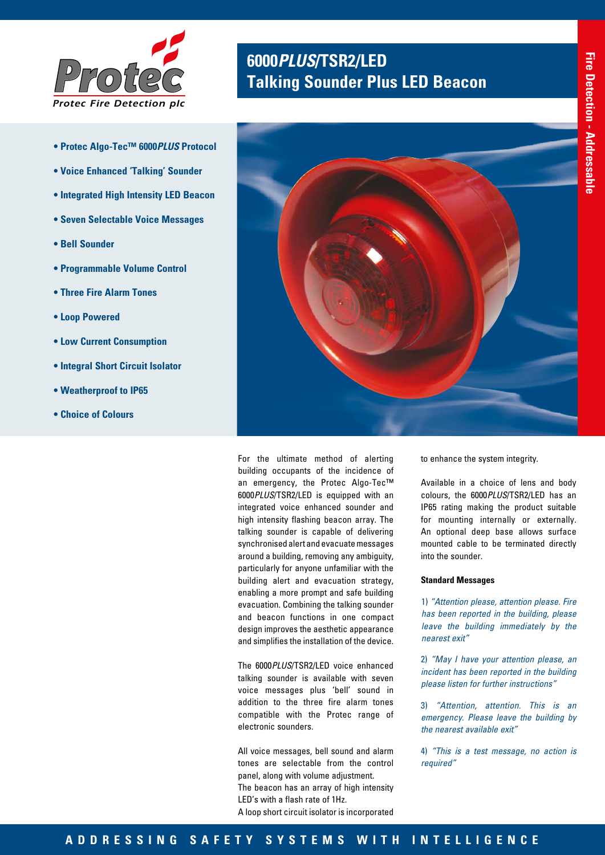

- **Protec Algo-Tec™ 6000***PLUS* **Protocol**
- **Voice Enhanced 'Talking' Sounder**
- **Integrated High Intensity LED Beacon**
- **Seven Selectable Voice Messages**
- **Bell Sounder**
- **Programmable Volume Control**
- **Three Fire Alarm Tones**
- **Loop Powered**
- **Low Current Consumption**
- **Integral Short Circuit Isolator**
- **Weatherproof to IP65**
- **Choice of Colours**

# **<sup>6000</sup>***PLUS***/TSR2/LED** *Protec* **Talking Sounder Plus LED Beacon**



For the ultimate method of alerting building occupants of the incidence of an emergency, the Protec Algo-Tec™ 6000*PLUS*/TSR2/LED is equipped with an integrated voice enhanced sounder and high intensity flashing beacon array. The talking sounder is capable of delivering synchronised alert and evacuate messages around a building, removing any ambiguity, particularly for anyone unfamiliar with the building alert and evacuation strategy, enabling a more prompt and safe building evacuation. Combining the talking sounder and beacon functions in one compact design improves the aesthetic appearance and simplifies the installation of the device.

The 6000*PLUS*/TSR2/LED voice enhanced talking sounder is available with seven voice messages plus 'bell' sound in addition to the three fire alarm tones compatible with the Protec range of electronic sounders.

All voice messages, bell sound and alarm tones are selectable from the control panel, along with volume adjustment. The beacon has an array of high intensity LED's with a flash rate of 1Hz. A loop short circuit isolator is incorporated

to enhance the system integrity.

Available in a choice of lens and body colours, the 6000*PLUS*/TSR2/LED has an IP65 rating making the product suitable for mounting internally or externally. An optional deep base allows surface mounted cable to be terminated directly into the sounder.

### **Standard Messages**

1) *"Attention please, attention please. Fire has been reported in the building, please leave the building immediately by the nearest exit"*

2) *"May I have your attention please, an incident has been reported in the building please listen for further instructions"*

3) *"Attention, attention. This is an emergency. Please leave the building by the nearest available exit"*

4) *"This is a test message, no action is required"*